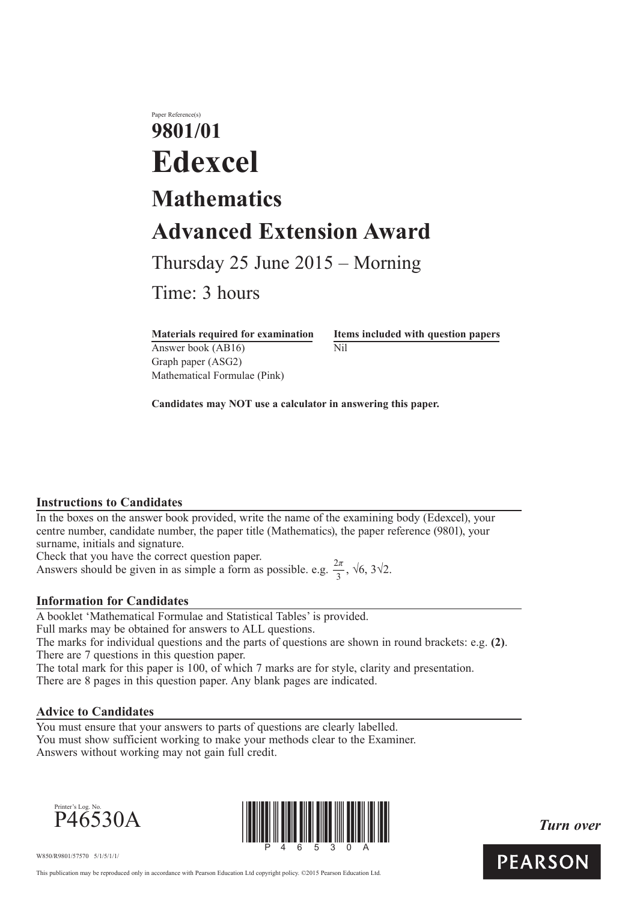# Paper Reference(s) **9801/01 Edexcel Mathematics Advanced Extension Award** Thursday 25 June 2015 – Morning

Time: 3 hours

Answer book (AB16) Nil Graph paper (ASG2) Mathematical Formulae (Pink)

**Materials required for examination Items included with question papers**

**Candidates may NOT use a calculator in answering this paper.**

## **Instructions to Candidates**

In the boxes on the answer book provided, write the name of the examining body (Edexcel), your centre number, candidate number, the paper title (Mathematics), the paper reference (9801), your surname, initials and signature.

Check that you have the correct question paper.

Answers should be given in as simple a form as possible. e.g.  $\frac{2\pi}{3}$ ,  $\sqrt{6}$ ,  $3\sqrt{2}$ .

## **Information for Candidates**

A booklet 'Mathematical Formulae and Statistical Tables' is provided. Full marks may be obtained for answers to ALL questions.

The marks for individual questions and the parts of questions are shown in round brackets: e.g. **(2)**. There are 7 questions in this question paper.

The total mark for this paper is 100, of which 7 marks are for style, clarity and presentation.

There are 8 pages in this question paper. Any blank pages are indicated.

#### **Advice to Candidates**

You must ensure that your answers to parts of questions are clearly labelled. You must show sufficient working to make your methods clear to the Examiner. Answers without working may not gain full credit.





*Turn over*



W850/R9801/57570 5/1/5/1/1/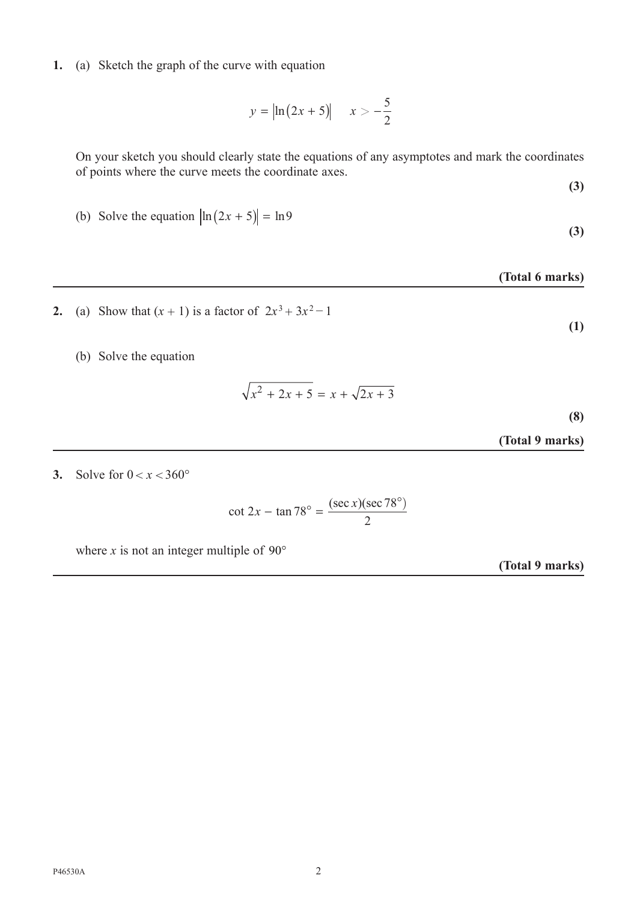**1.** (a) Sketch the graph of the curve with equation

$$
y = \left| \ln(2x + 5) \right| \quad x > -\frac{5}{2}
$$

On your sketch you should clearly state the equations of any asymptotes and mark the coordinates of points where the curve meets the coordinate axes. **(3)**

$$
(\mathfrak{I})
$$

**(3)**

**(1)** 

(b) Solve the equation  $\left| \ln (2x + 5) \right| = \ln 9$ 

#### **(Total 6 marks)**

**2.** (a) Show that  $(x + 1)$  is a factor of  $2x^3 + 3x^2 - 1$ 

(b) Solve the equation

$$
\sqrt{x^2 + 2x + 5} = x + \sqrt{2x + 3}
$$

**(8)**

**(Total 9 marks)**

**3.** Solve for  $0 < x < 360^{\circ}$ 

$$
\cot 2x - \tan 78^\circ = \frac{(\sec x)(\sec 78^\circ)}{2}
$$

where  $x$  is not an integer multiple of  $90^\circ$ 

**(Total 9 marks)**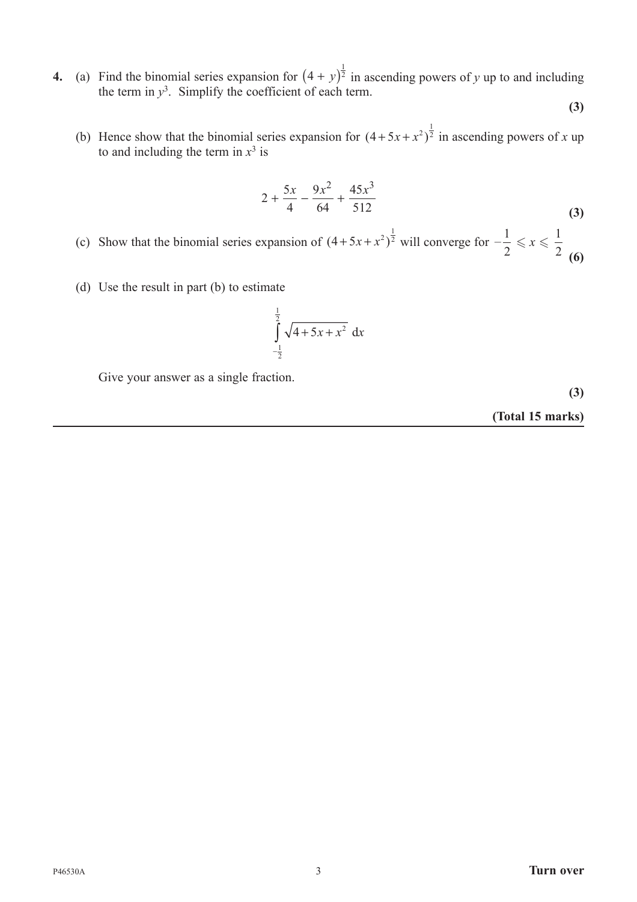**4.** (a) Find the binomial series expansion for  $(4 + y)^{\frac{1}{2}}$  in ascending powers of *y* up to and including the term in  $y^3$ . Simplify the coefficient of each term.

$$
(\mathbf{3})
$$

(b) Hence show that the binomial series expansion for  $(4+5x+x^2)^{\frac{1}{2}}$  in ascending powers of *x* up to and including the term in  $x^3$  is

$$
2 + \frac{5x}{4} - \frac{9x^2}{64} + \frac{45x^3}{512}
$$
 (3)

- (c) Show that the binomial series expansion of  $(4+5x+x^2)^{\frac{1}{2}}$  will converge for  $-\frac{1}{2} \le x \le \frac{1}{2}$  $2(6)$ 
	- (d) Use the result in part (b) to estimate

$$
\int_{-\frac{1}{2}}^{\frac{1}{2}} \sqrt{4 + 5x + x^2} \, dx
$$

Give your answer as a single fraction.

**(3)**

**(Total 15 marks)**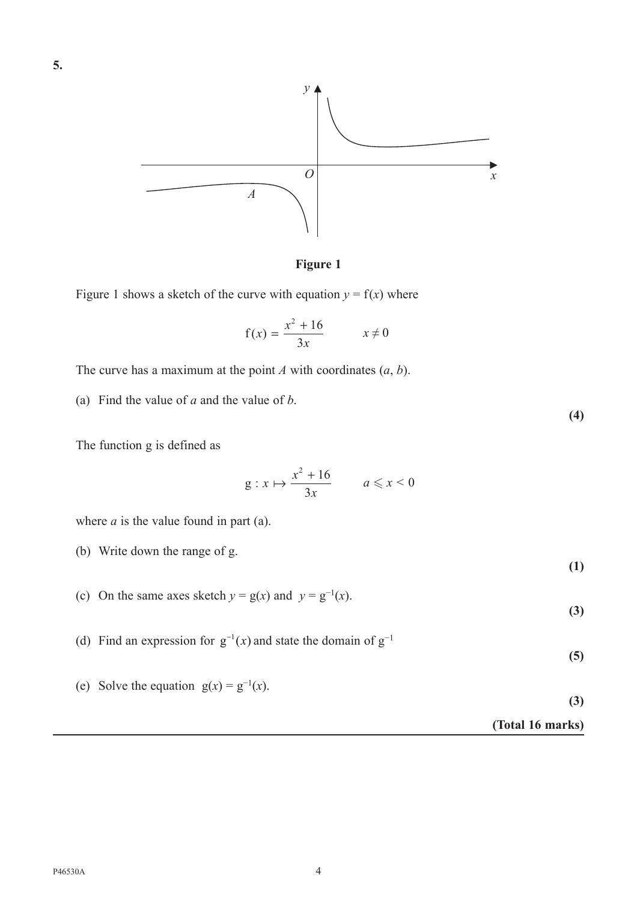

**Figure 1**

Figure 1 shows a sketch of the curve with equation  $y = f(x)$  where

$$
f(x) = \frac{x^2 + 16}{3x} \qquad x \neq 0
$$

The curve has a maximum at the point *A* with coordinates (*a*, *b*).

(a) Find the value of *a* and the value of *b*.

The function g is defined as

$$
g: x \mapsto \frac{x^2 + 16}{3x} \qquad a \leq x < 0
$$

where *a* is the value found in part (a).

- (b) Write down the range of g.
- (c) On the same axes sketch  $y = g(x)$  and  $y = g^{-1}(x)$ .
- (d) Find an expression for  $g^{-1}(x)$  and state the domain of  $g^{-1}$
- (e) Solve the equation  $g(x) = g^{-1}(x)$ .

**(3)**

**(4)**

**(1)**

**(3)**

**(5)**

#### **(Total 16 marks)**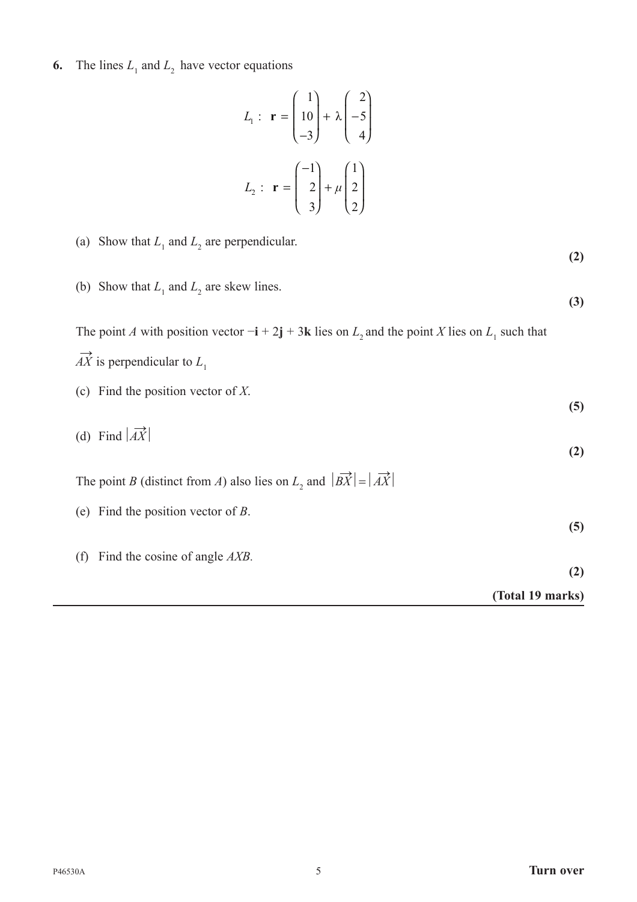**6.** The lines  $L_1$  and  $L_2$  have vector equations

$$
L_1: \mathbf{r} = \begin{pmatrix} 1 \\ 10 \\ -3 \end{pmatrix} + \lambda \begin{pmatrix} 2 \\ -5 \\ 4 \end{pmatrix}
$$

$$
L_2: \mathbf{r} = \begin{pmatrix} -1 \\ 2 \\ 3 \end{pmatrix} + \mu \begin{pmatrix} 1 \\ 2 \\ 2 \end{pmatrix}
$$

- (a) Show that  $L_1$  and  $L_2$  are perpendicular.
- (b) Show that  $L_1$  and  $L_2$  are skew lines.

The point *A* with position vector  $-i + 2j + 3k$  lies on  $L_2$  and the point *X* lies on  $L_1$  such that  $\overrightarrow{AX}$  is perpendicular to  $L_1$ 

- (c) Find the position vector of *X*.
- (d) Find  $|\vec{AX}|$ **(2)**

The point *B* (distinct from *A*) also lies on  $L_2$  and  $|\vec{BX}| = |\vec{AX}|$ 

 (e) Find the position vector of *B*. **(5)** (f) Find the cosine of angle *AXB.* **(2) (Total 19 marks)**

**(2)**

**(3)**

**(5)**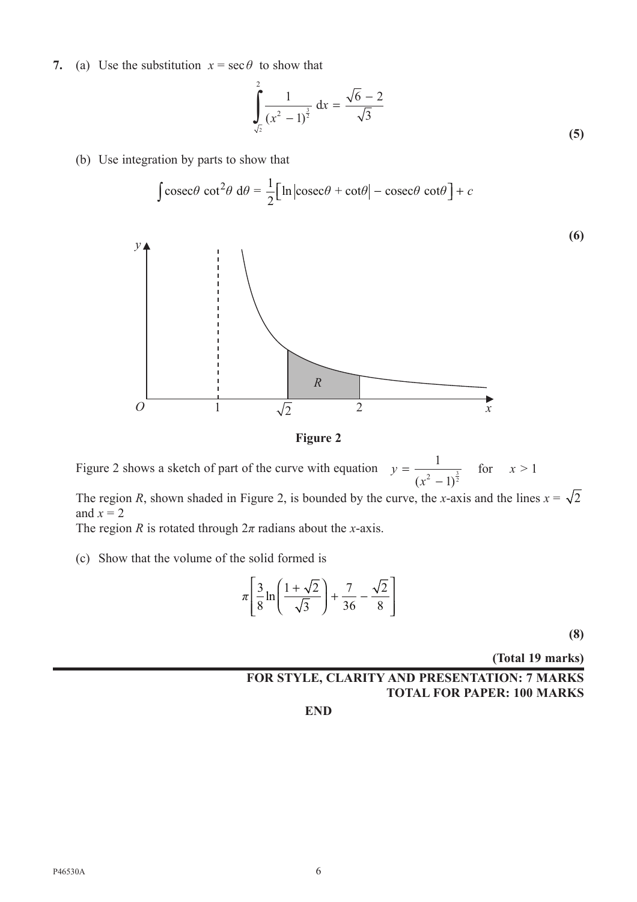**7.** (a) Use the substitution  $x = \sec \theta$  to show that

$$
\int_{\sqrt{2}}^{2} \frac{1}{\left(x^2 - 1\right)^{\frac{3}{2}}} \, \mathrm{d}x = \frac{\sqrt{6} - 2}{\sqrt{3}} \tag{5}
$$

(b) Use integration by parts to show that

$$
\int \csc \theta \cot^2 \theta \, d\theta = \frac{1}{2} [\ln |\csc \theta + \cot \theta| - \csc \theta \cot \theta] + c
$$
\n(6)

**Figure 2**

Figure 2 shows a sketch of part of the curve with equation *y x*  $=\frac{1}{2}$  for x − 1 1  $\frac{1}{(x^2-1)^{\frac{3}{2}}}$  for  $x > 1$ for  $x >$ 

The region *R*, shown shaded in Figure 2, is bounded by the curve, the *x*-axis and the lines  $x = \sqrt{2}$ and  $x = 2$ 

The region *R* is rotated through  $2\pi$  radians about the *x*-axis.

(c) Show that the volume of the solid formed is

$$
\pi \left[ \frac{3}{8} \ln \left( \frac{1+\sqrt{2}}{\sqrt{3}} \right) + \frac{7}{36} - \frac{\sqrt{2}}{8} \right]
$$

**(8)**

**(Total 19 marks)**

# **FOR STYLE, CLARITY AND PRESENTATION: 7 MARKS TOTAL FOR PAPER: 100 MARKS**

**END**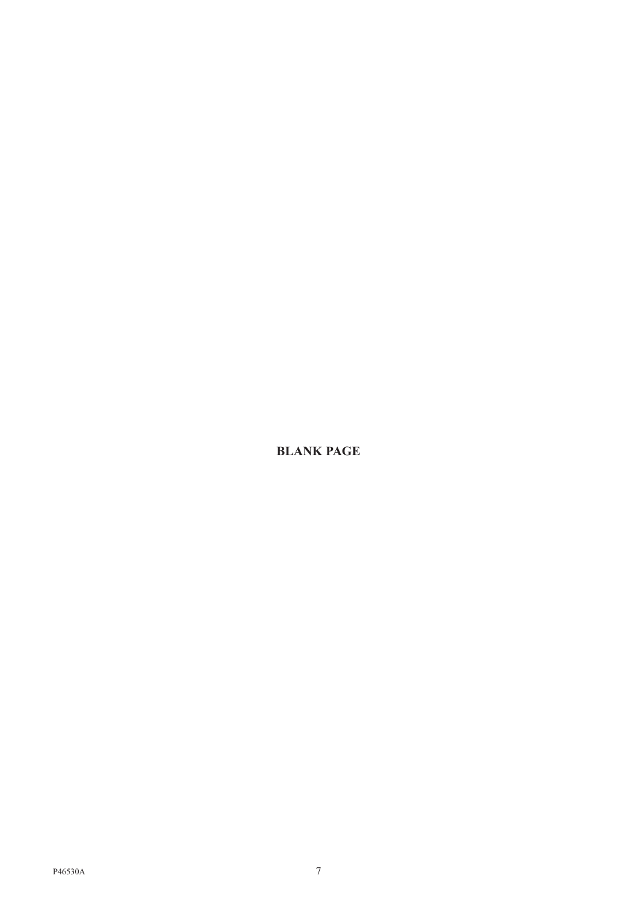**BLANK PAGE**